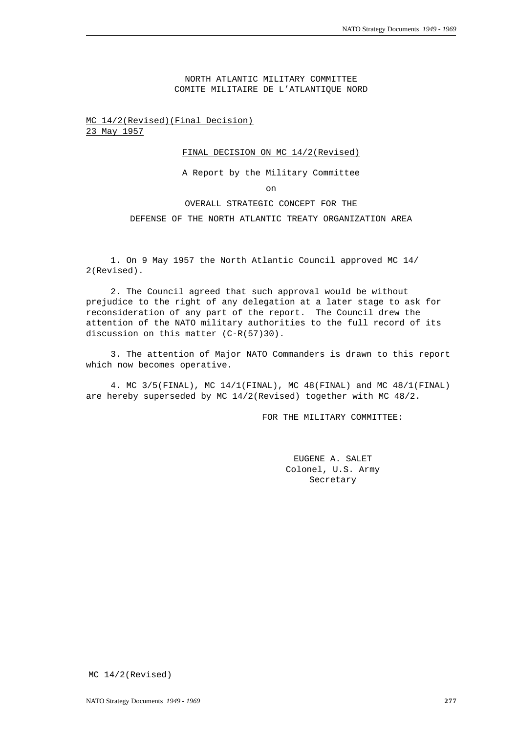NORTH ATLANTIC MILITARY COMMITTEE COMITE MILITAIRE DE L'ATLANTIQUE NORD

MC 14/2(Revised)(Final Decision) 23 May 1957

## FINAL DECISION ON MC 14/2(Revised)

A Report by the Military Committee

on

## OVERALL STRATEGIC CONCEPT FOR THE

DEFENSE OF THE NORTH ATLANTIC TREATY ORGANIZATION AREA

1. On 9 May 1957 the North Atlantic Council approved MC 14/ 2(Revised).

2. The Council agreed that such approval would be without prejudice to the right of any delegation at a later stage to ask for reconsideration of any part of the report. The Council drew the attention of the NATO military authorities to the full record of its discussion on this matter (C-R(57)30).

3. The attention of Major NATO Commanders is drawn to this report which now becomes operative.

4. MC 3/5(FINAL), MC 14/1(FINAL), MC 48(FINAL) and MC 48/1(FINAL) are hereby superseded by MC  $14/2$ (Revised) together with MC  $48/2$ .

FOR THE MILITARY COMMITTEE:

EUGENE A. SALET Colonel, U.S. Army Secretary

MC 14/2(Revised)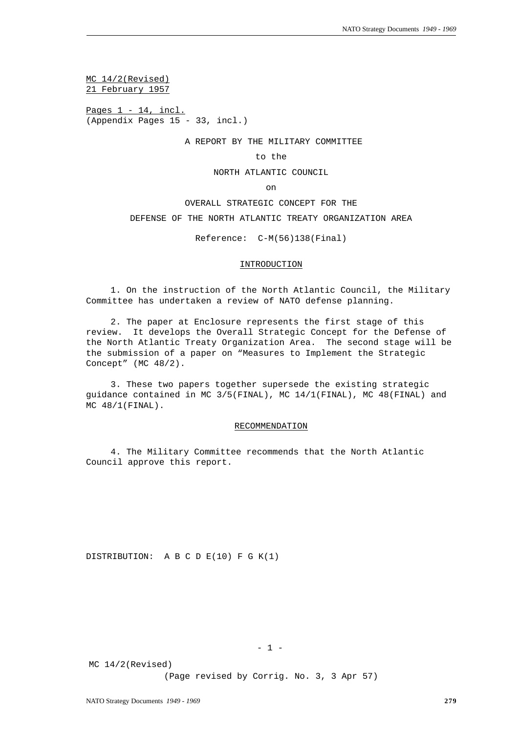MC 14/2(Revised) 21 February 1957

Pages  $1 - 14$ , incl. (Appendix Pages 15 - 33, incl.)

A REPORT BY THE MILITARY COMMITTEE

to the

NORTH ATLANTIC COUNCIL

on

OVERALL STRATEGIC CONCEPT FOR THE

DEFENSE OF THE NORTH ATLANTIC TREATY ORGANIZATION AREA

Reference: C-M(56)138(Final)

#### INTRODUCTION

1. On the instruction of the North Atlantic Council, the Military Committee has undertaken a review of NATO defense planning.

2. The paper at Enclosure represents the first stage of this review. It develops the Overall Strategic Concept for the Defense of the North Atlantic Treaty Organization Area. The second stage will be the submission of a paper on "Measures to Implement the Strategic Concept" (MC 48/2).

3. These two papers together supersede the existing strategic guidance contained in MC 3/5(FINAL), MC 14/1(FINAL), MC 48(FINAL) and MC 48/1(FINAL).

## RECOMMENDATION

4. The Military Committee recommends that the North Atlantic Council approve this report.

DISTRIBUTION: A B C D E(10) F G K(1)

 $- 1 -$ 

MC 14/2(Revised)

(Page revised by Corrig. No. 3, 3 Apr 57)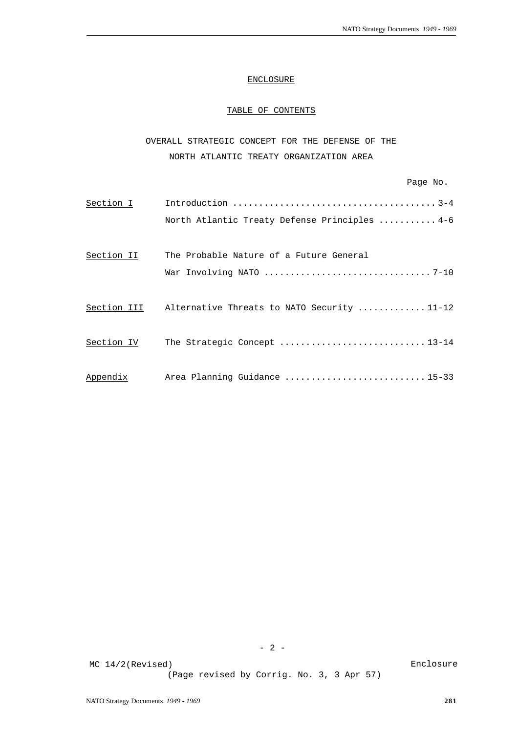# ENCLOSURE

# TABLE OF CONTENTS

OVERALL STRATEGIC CONCEPT FOR THE DEFENSE OF THE NORTH ATLANTIC TREATY ORGANIZATION AREA

| Section I   |                                               |
|-------------|-----------------------------------------------|
|             | North Atlantic Treaty Defense Principles  4-6 |
|             |                                               |
| Section II  | The Probable Nature of a Future General       |
|             |                                               |
| Section III | Alternative Threats to NATO Security 11-12    |
| Section IV  | The Strategic Concept 13-14                   |
| Appendix    | Area Planning Guidance 15-33                  |

 $- 2 -$ 

(Page revised by Corrig. No. 3, 3 Apr 57)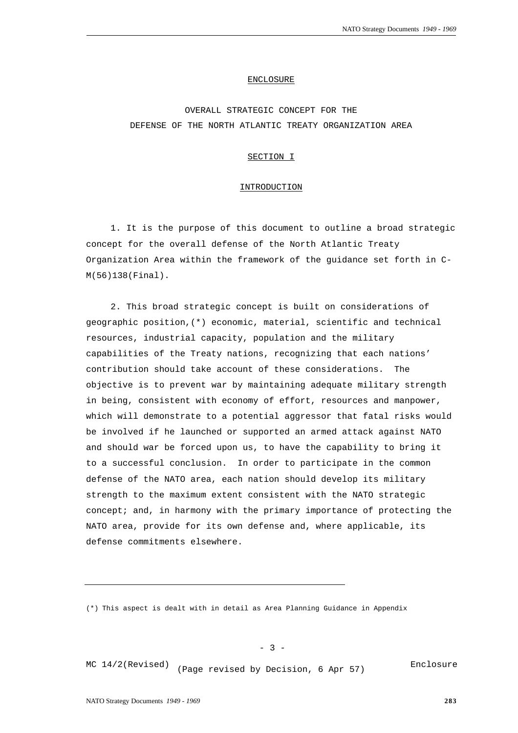#### ENCLOSURE

# OVERALL STRATEGIC CONCEPT FOR THE DEFENSE OF THE NORTH ATLANTIC TREATY ORGANIZATION AREA

## SECTION I

#### INTRODUCTION

1. It is the purpose of this document to outline a broad strategic concept for the overall defense of the North Atlantic Treaty Organization Area within the framework of the guidance set forth in C-M(56)138(Final).

2. This broad strategic concept is built on considerations of geographic position,(\*) economic, material, scientific and technical resources, industrial capacity, population and the military capabilities of the Treaty nations, recognizing that each nations' contribution should take account of these considerations. The objective is to prevent war by maintaining adequate military strength in being, consistent with economy of effort, resources and manpower, which will demonstrate to a potential aggressor that fatal risks would be involved if he launched or supported an armed attack against NATO and should war be forced upon us, to have the capability to bring it to a successful conclusion. In order to participate in the common defense of the NATO area, each nation should develop its military strength to the maximum extent consistent with the NATO strategic concept; and, in harmony with the primary importance of protecting the NATO area, provide for its own defense and, where applicable, its defense commitments elsewhere.

(\*) This aspect is dealt with in detail as Area Planning Guidance in Appendix

 $- 3 -$ 

MC  $14/2$ (Revised) (Page revised by Decision, 6 Apr 57)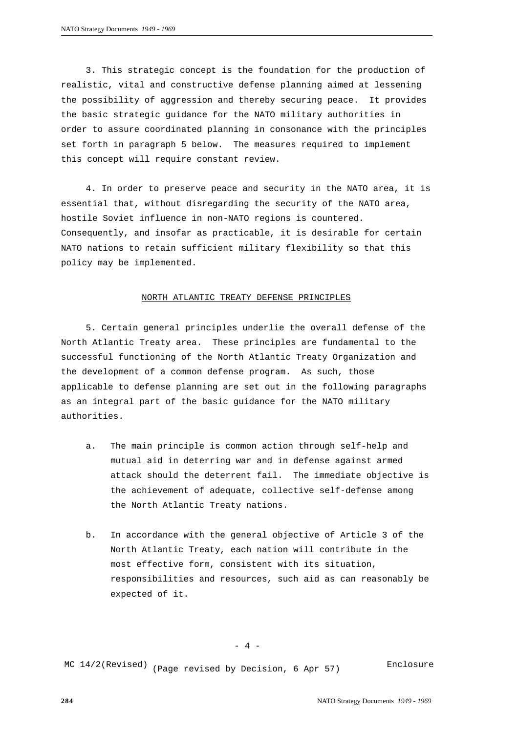3. This strategic concept is the foundation for the production of realistic, vital and constructive defense planning aimed at lessening the possibility of aggression and thereby securing peace. It provides the basic strategic guidance for the NATO military authorities in order to assure coordinated planning in consonance with the principles set forth in paragraph 5 below. The measures required to implement this concept will require constant review.

4. In order to preserve peace and security in the NATO area, it is essential that, without disregarding the security of the NATO area, hostile Soviet influence in non-NATO regions is countered. Consequently, and insofar as practicable, it is desirable for certain NATO nations to retain sufficient military flexibility so that this policy may be implemented.

#### NORTH ATLANTIC TREATY DEFENSE PRINCIPLES

5. Certain general principles underlie the overall defense of the North Atlantic Treaty area. These principles are fundamental to the successful functioning of the North Atlantic Treaty Organization and the development of a common defense program. As such, those applicable to defense planning are set out in the following paragraphs as an integral part of the basic guidance for the NATO military authorities.

- a. The main principle is common action through self-help and mutual aid in deterring war and in defense against armed attack should the deterrent fail. The immediate objective is the achievement of adequate, collective self-defense among the North Atlantic Treaty nations.
- b. In accordance with the general objective of Article 3 of the North Atlantic Treaty, each nation will contribute in the most effective form, consistent with its situation, responsibilities and resources, such aid as can reasonably be expected of it.

MC  $14/2$ (Revised) (Page revised by Decision, 6 Apr 57)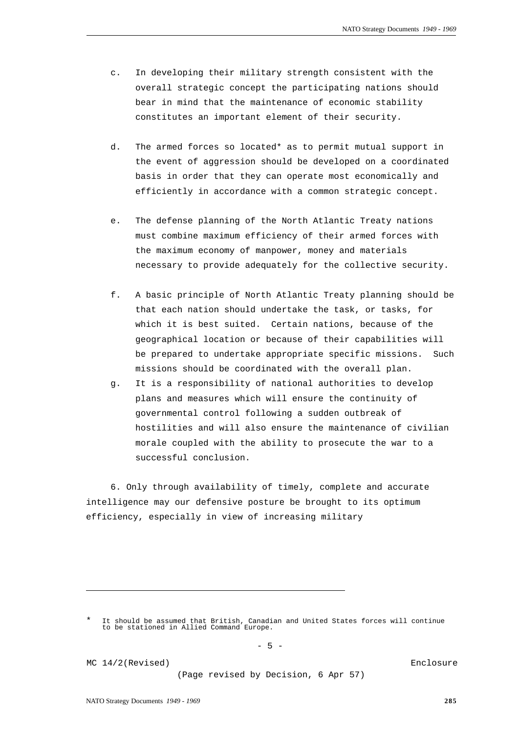- c. In developing their military strength consistent with the overall strategic concept the participating nations should bear in mind that the maintenance of economic stability constitutes an important element of their security.
- d. The armed forces so located\* as to permit mutual support in the event of aggression should be developed on a coordinated basis in order that they can operate most economically and efficiently in accordance with a common strategic concept.
- e. The defense planning of the North Atlantic Treaty nations must combine maximum efficiency of their armed forces with the maximum economy of manpower, money and materials necessary to provide adequately for the collective security.
- f. A basic principle of North Atlantic Treaty planning should be that each nation should undertake the task, or tasks, for which it is best suited. Certain nations, because of the geographical location or because of their capabilities will be prepared to undertake appropriate specific missions. Such missions should be coordinated with the overall plan.
- g. It is a responsibility of national authorities to develop plans and measures which will ensure the continuity of governmental control following a sudden outbreak of hostilities and will also ensure the maintenance of civilian morale coupled with the ability to prosecute the war to a successful conclusion.

6. Only through availability of timely, complete and accurate intelligence may our defensive posture be brought to its optimum efficiency, especially in view of increasing military

 $-5 -$ 

MC 14/2(Revised)

(Page revised by Decision, 6 Apr 57)

<sup>\*</sup> It should be assumed that British, Canadian and United States forces will continue to be stationed in Allied Command Europe.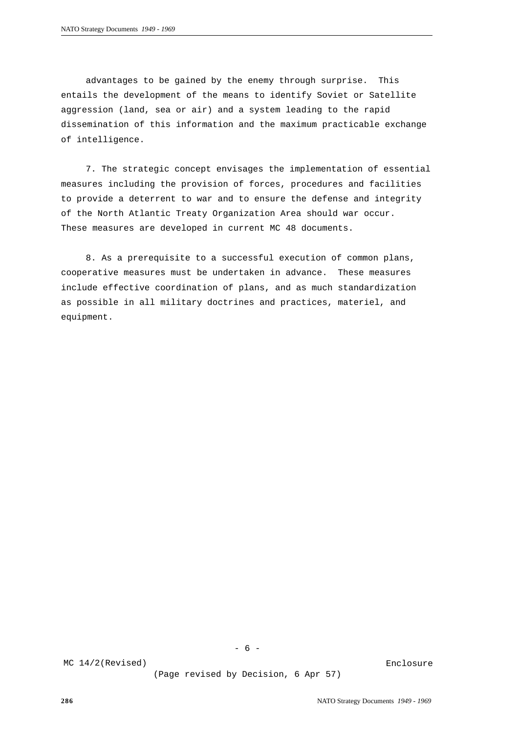advantages to be gained by the enemy through surprise. This entails the development of the means to identify Soviet or Satellite aggression (land, sea or air) and a system leading to the rapid dissemination of this information and the maximum practicable exchange of intelligence.

7. The strategic concept envisages the implementation of essential measures including the provision of forces, procedures and facilities to provide a deterrent to war and to ensure the defense and integrity of the North Atlantic Treaty Organization Area should war occur. These measures are developed in current MC 48 documents.

8. As a prerequisite to a successful execution of common plans, cooperative measures must be undertaken in advance. These measures include effective coordination of plans, and as much standardization as possible in all military doctrines and practices, materiel, and equipment.

- 6 -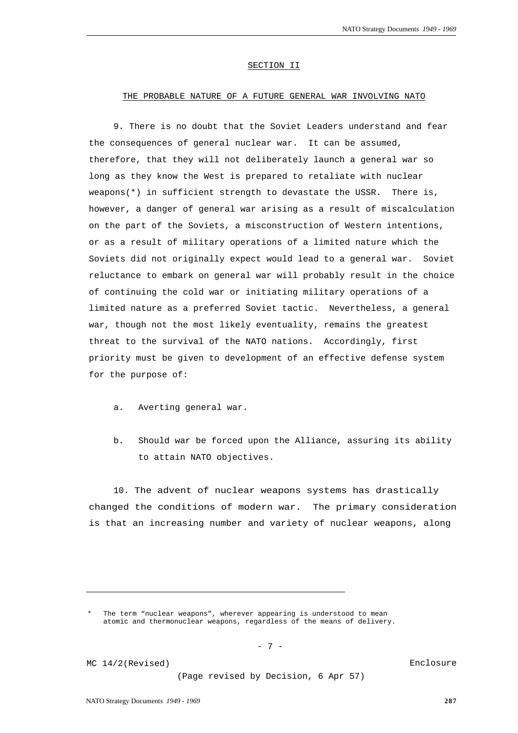#### SECTION II

# THE PROBABLE NATURE OF A FUTURE GENERAL WAR INVOLVING NATO

9. There is no doubt that the Soviet Leaders understand and fear the consequences of general nuclear war. It can be assumed, therefore, that they will not deliberately launch a general war so long as they know the West is prepared to retaliate with nuclear weapons(\*) in sufficient strength to devastate the USSR. There is, however, a danger of general war arising as a result of miscalculation on the part of the Soviets, a misconstruction of Western intentions, or as a result of military operations of a limited nature which the Soviets did not originally expect would lead to a general war. Soviet reluctance to embark on general war will probably result in the choice of continuing the cold war or initiating military operations of a limited nature as a preferred Soviet tactic. Nevertheless, a general war, though not the most likely eventuality, remains the greatest threat to the survival of the NATO nations. Accordingly, first priority must be given to development of an effective defense system for the purpose of:

- a. Averting general war.
- b. Should war be forced upon the Alliance, assuring its ability to attain NATO objectives.

10. The advent of nuclear weapons systems has drastically changed the conditions of modern war. The primary consideration is that an increasing number and variety of nuclear weapons, along

MC 14/2(Revised)

(Page revised by Decision, 6 Apr 57)

The term "nuclear weapons", wherever appearing is understood to mean atomic and thermonuclear weapons, regardless of the means of delivery.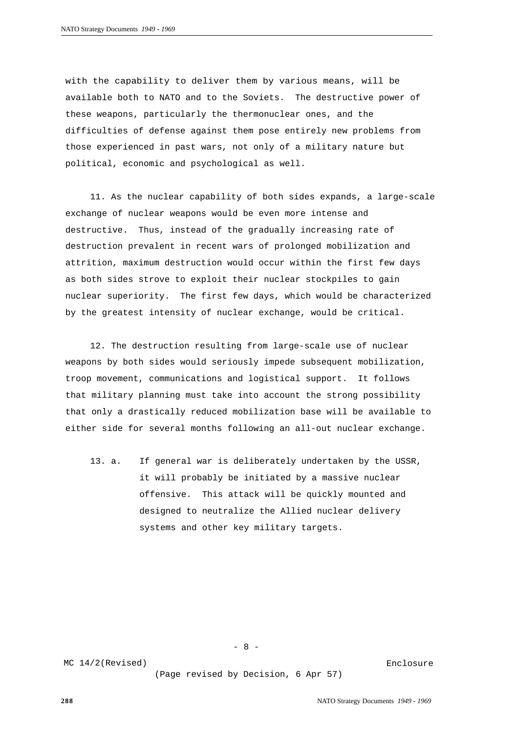with the capability to deliver them by various means, will be available both to NATO and to the Soviets. The destructive power of these weapons, particularly the thermonuclear ones, and the difficulties of defense against them pose entirely new problems from those experienced in past wars, not only of a military nature but political, economic and psychological as well.

11. As the nuclear capability of both sides expands, a large-scale exchange of nuclear weapons would be even more intense and destructive. Thus, instead of the gradually increasing rate of destruction prevalent in recent wars of prolonged mobilization and attrition, maximum destruction would occur within the first few days as both sides strove to exploit their nuclear stockpiles to gain nuclear superiority. The first few days, which would be characterized by the greatest intensity of nuclear exchange, would be critical.

12. The destruction resulting from large-scale use of nuclear weapons by both sides would seriously impede subsequent mobilization, troop movement, communications and logistical support. It follows that military planning must take into account the strong possibility that only a drastically reduced mobilization base will be available to either side for several months following an all-out nuclear exchange.

13. a. If general war is deliberately undertaken by the USSR, it will probably be initiated by a massive nuclear offensive. This attack will be quickly mounted and designed to neutralize the Allied nuclear delivery systems and other key military targets.

- 8 -

MC 14/2(Revised)

(Page revised by Decision, 6 Apr 57)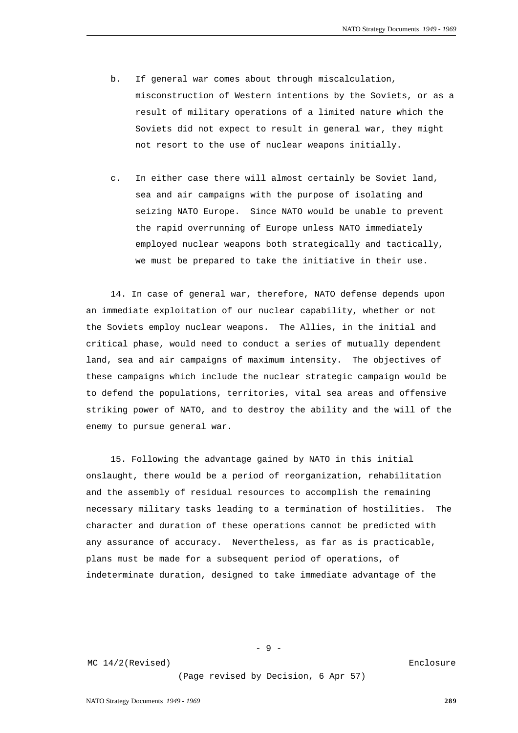- b. If general war comes about through miscalculation, misconstruction of Western intentions by the Soviets, or as a result of military operations of a limited nature which the Soviets did not expect to result in general war, they might not resort to the use of nuclear weapons initially.
- c. In either case there will almost certainly be Soviet land, sea and air campaigns with the purpose of isolating and seizing NATO Europe. Since NATO would be unable to prevent the rapid overrunning of Europe unless NATO immediately employed nuclear weapons both strategically and tactically, we must be prepared to take the initiative in their use.

14. In case of general war, therefore, NATO defense depends upon an immediate exploitation of our nuclear capability, whether or not the Soviets employ nuclear weapons. The Allies, in the initial and critical phase, would need to conduct a series of mutually dependent land, sea and air campaigns of maximum intensity. The objectives of these campaigns which include the nuclear strategic campaign would be to defend the populations, territories, vital sea areas and offensive striking power of NATO, and to destroy the ability and the will of the enemy to pursue general war.

15. Following the advantage gained by NATO in this initial onslaught, there would be a period of reorganization, rehabilitation and the assembly of residual resources to accomplish the remaining necessary military tasks leading to a termination of hostilities. The character and duration of these operations cannot be predicted with any assurance of accuracy. Nevertheless, as far as is practicable, plans must be made for a subsequent period of operations, of indeterminate duration, designed to take immediate advantage of the

- 9 -

MC 14/2(Revised)

(Page revised by Decision, 6 Apr 57)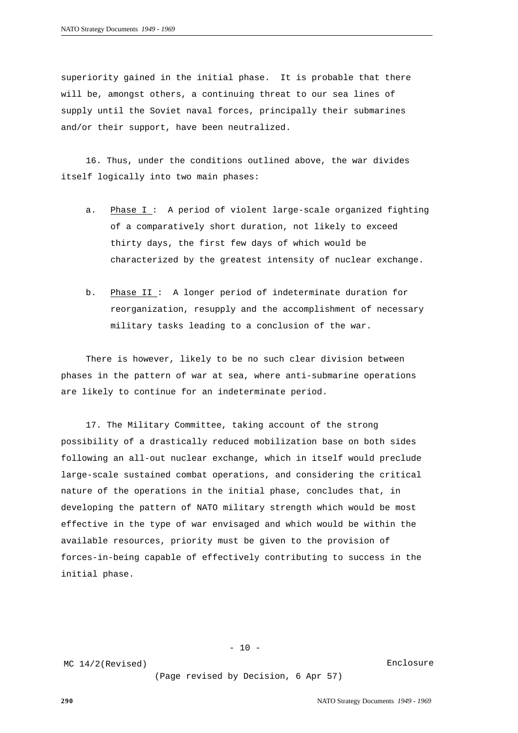superiority gained in the initial phase. It is probable that there will be, amongst others, a continuing threat to our sea lines of supply until the Soviet naval forces, principally their submarines and/or their support, have been neutralized.

16. Thus, under the conditions outlined above, the war divides itself logically into two main phases:

- a. Phase I : A period of violent large-scale organized fighting of a comparatively short duration, not likely to exceed thirty days, the first few days of which would be characterized by the greatest intensity of nuclear exchange.
- b. Phase II : A longer period of indeterminate duration for reorganization, resupply and the accomplishment of necessary military tasks leading to a conclusion of the war.

There is however, likely to be no such clear division between phases in the pattern of war at sea, where anti-submarine operations are likely to continue for an indeterminate period.

17. The Military Committee, taking account of the strong possibility of a drastically reduced mobilization base on both sides following an all-out nuclear exchange, which in itself would preclude large-scale sustained combat operations, and considering the critical nature of the operations in the initial phase, concludes that, in developing the pattern of NATO military strength which would be most effective in the type of war envisaged and which would be within the available resources, priority must be given to the provision of forces-in-being capable of effectively contributing to success in the initial phase.

MC 14/2(Revised)

(Page revised by Decision, 6 Apr 57)

 $- 10 -$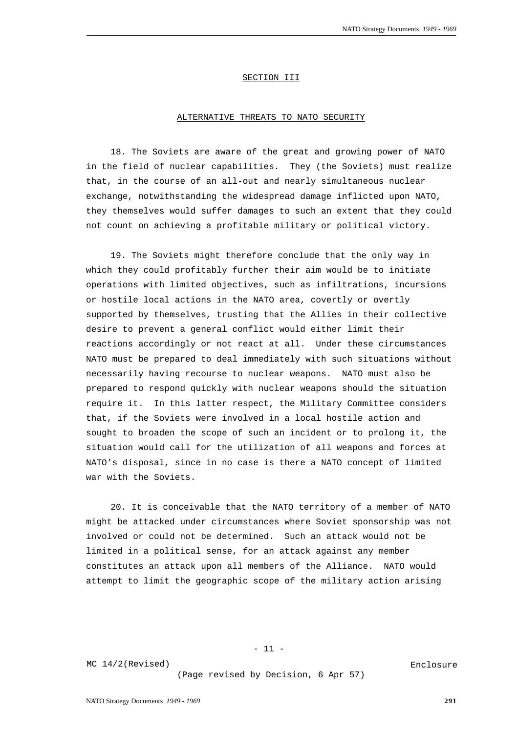#### SECTION III

#### ALTERNATIVE THREATS TO NATO SECURITY

18. The Soviets are aware of the great and growing power of NATO in the field of nuclear capabilities. They (the Soviets) must realize that, in the course of an all-out and nearly simultaneous nuclear exchange, notwithstanding the widespread damage inflicted upon NATO, they themselves would suffer damages to such an extent that they could not count on achieving a profitable military or political victory.

19. The Soviets might therefore conclude that the only way in which they could profitably further their aim would be to initiate operations with limited objectives, such as infiltrations, incursions or hostile local actions in the NATO area, covertly or overtly supported by themselves, trusting that the Allies in their collective desire to prevent a general conflict would either limit their reactions accordingly or not react at all. Under these circumstances NATO must be prepared to deal immediately with such situations without necessarily having recourse to nuclear weapons. NATO must also be prepared to respond quickly with nuclear weapons should the situation require it. In this latter respect, the Military Committee considers that, if the Soviets were involved in a local hostile action and sought to broaden the scope of such an incident or to prolong it, the situation would call for the utilization of all weapons and forces at NATO's disposal, since in no case is there a NATO concept of limited war with the Soviets.

20. It is conceivable that the NATO territory of a member of NATO might be attacked under circumstances where Soviet sponsorship was not involved or could not be determined. Such an attack would not be limited in a political sense, for an attack against any member constitutes an attack upon all members of the Alliance. NATO would attempt to limit the geographic scope of the military action arising

- 11 -

MC 14/2(Revised)

(Page revised by Decision, 6 Apr 57)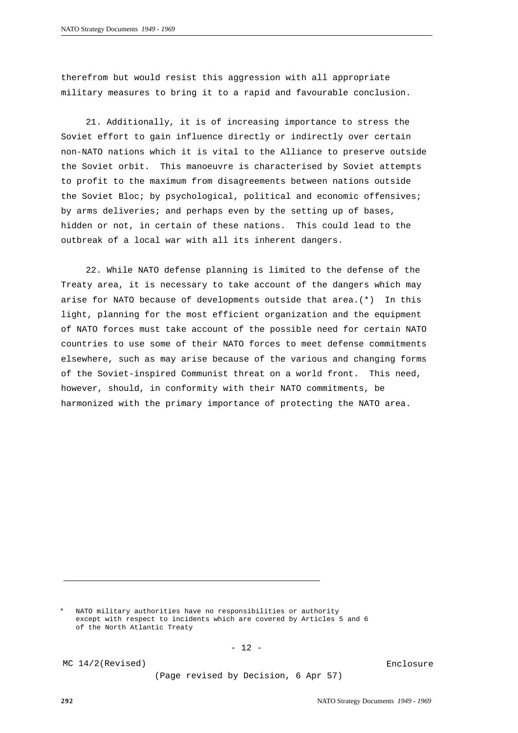therefrom but would resist this aggression with all appropriate military measures to bring it to a rapid and favourable conclusion.

21. Additionally, it is of increasing importance to stress the Soviet effort to gain influence directly or indirectly over certain non-NATO nations which it is vital to the Alliance to preserve outside the Soviet orbit. This manoeuvre is characterised by Soviet attempts to profit to the maximum from disagreements between nations outside the Soviet Bloc; by psychological, political and economic offensives; by arms deliveries; and perhaps even by the setting up of bases, hidden or not, in certain of these nations. This could lead to the outbreak of a local war with all its inherent dangers.

22. While NATO defense planning is limited to the defense of the Treaty area, it is necessary to take account of the dangers which may arise for NATO because of developments outside that area.(\*) In this light, planning for the most efficient organization and the equipment of NATO forces must take account of the possible need for certain NATO countries to use some of their NATO forces to meet defense commitments elsewhere, such as may arise because of the various and changing forms of the Soviet-inspired Communist threat on a world front. This need, however, should, in conformity with their NATO commitments, be harmonized with the primary importance of protecting the NATO area.

NATO military authorities have no responsibilities or authority except with respect to incidents which are covered by Articles 5 and 6 of the North Atlantic Treaty

 $- 12 -$ 

MC 14/2(Revised)

(Page revised by Decision, 6 Apr 57)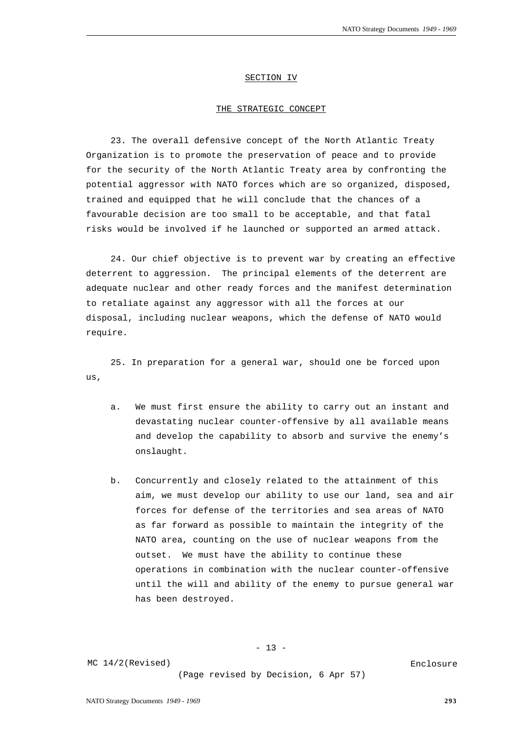#### SECTION IV

#### THE STRATEGIC CONCEPT

23. The overall defensive concept of the North Atlantic Treaty Organization is to promote the preservation of peace and to provide for the security of the North Atlantic Treaty area by confronting the potential aggressor with NATO forces which are so organized, disposed, trained and equipped that he will conclude that the chances of a favourable decision are too small to be acceptable, and that fatal risks would be involved if he launched or supported an armed attack.

24. Our chief objective is to prevent war by creating an effective deterrent to aggression. The principal elements of the deterrent are adequate nuclear and other ready forces and the manifest determination to retaliate against any aggressor with all the forces at our disposal, including nuclear weapons, which the defense of NATO would require.

25. In preparation for a general war, should one be forced upon us,

- a. We must first ensure the ability to carry out an instant and devastating nuclear counter-offensive by all available means and develop the capability to absorb and survive the enemy's onslaught.
- b. Concurrently and closely related to the attainment of this aim, we must develop our ability to use our land, sea and air forces for defense of the territories and sea areas of NATO as far forward as possible to maintain the integrity of the NATO area, counting on the use of nuclear weapons from the outset. We must have the ability to continue these operations in combination with the nuclear counter-offensive until the will and ability of the enemy to pursue general war has been destroyed.

 $- 13 -$ 

MC 14/2(Revised)

(Page revised by Decision, 6 Apr 57)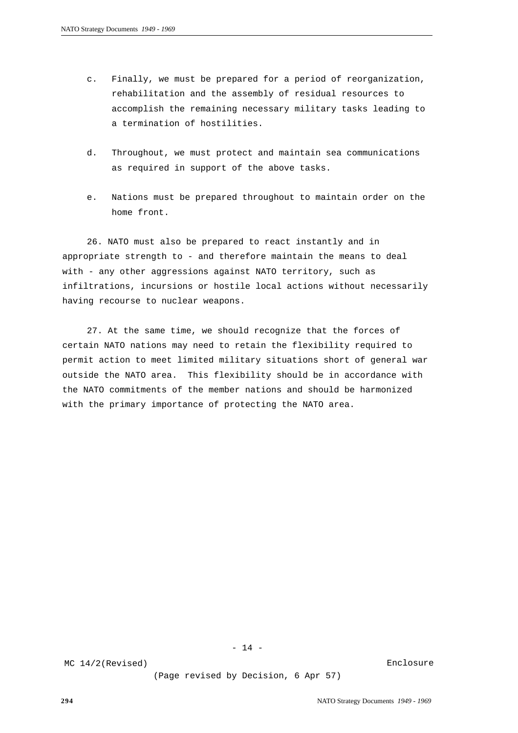- c. Finally, we must be prepared for a period of reorganization, rehabilitation and the assembly of residual resources to accomplish the remaining necessary military tasks leading to a termination of hostilities.
- d. Throughout, we must protect and maintain sea communications as required in support of the above tasks.
- e. Nations must be prepared throughout to maintain order on the home front.

26. NATO must also be prepared to react instantly and in appropriate strength to - and therefore maintain the means to deal with - any other aggressions against NATO territory, such as infiltrations, incursions or hostile local actions without necessarily having recourse to nuclear weapons.

27. At the same time, we should recognize that the forces of certain NATO nations may need to retain the flexibility required to permit action to meet limited military situations short of general war outside the NATO area. This flexibility should be in accordance with the NATO commitments of the member nations and should be harmonized with the primary importance of protecting the NATO area.

 $- 14 -$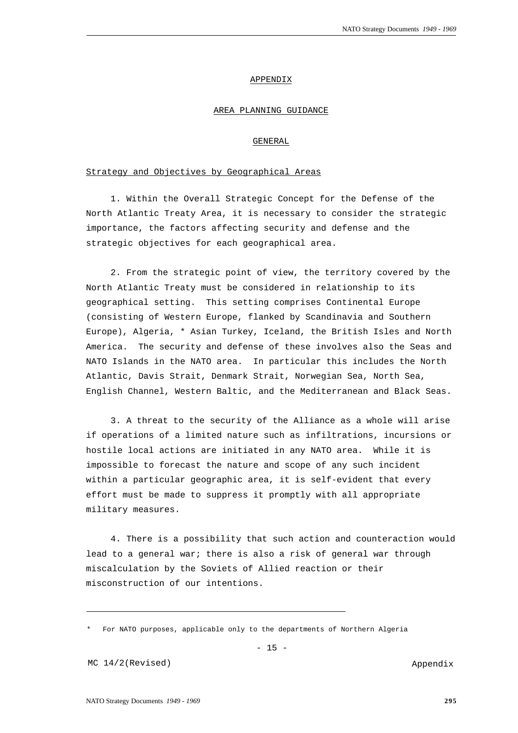#### APPENDIX

## AREA PLANNING GUIDANCE

## GENERAL

## Strategy and Objectives by Geographical Areas

1. Within the Overall Strategic Concept for the Defense of the North Atlantic Treaty Area, it is necessary to consider the strategic importance, the factors affecting security and defense and the strategic objectives for each geographical area.

2. From the strategic point of view, the territory covered by the North Atlantic Treaty must be considered in relationship to its geographical setting. This setting comprises Continental Europe (consisting of Western Europe, flanked by Scandinavia and Southern Europe), Algeria, \* Asian Turkey, Iceland, the British Isles and North America. The security and defense of these involves also the Seas and NATO Islands in the NATO area. In particular this includes the North Atlantic, Davis Strait, Denmark Strait, Norwegian Sea, North Sea, English Channel, Western Baltic, and the Mediterranean and Black Seas.

3. A threat to the security of the Alliance as a whole will arise if operations of a limited nature such as infiltrations, incursions or hostile local actions are initiated in any NATO area. While it is impossible to forecast the nature and scope of any such incident within a particular geographic area, it is self-evident that every effort must be made to suppress it promptly with all appropriate military measures.

4. There is a possibility that such action and counteraction would lead to a general war; there is also a risk of general war through miscalculation by the Soviets of Allied reaction or their misconstruction of our intentions.

<sup>\*</sup> For NATO purposes, applicable only to the departments of Northern Algeria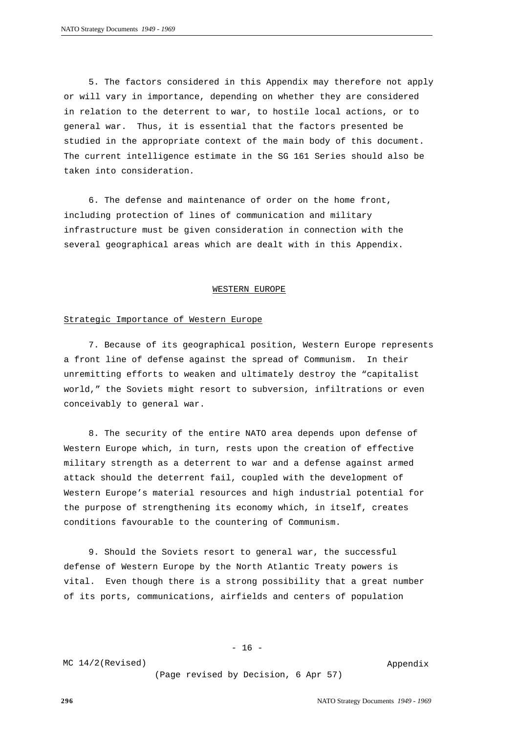5. The factors considered in this Appendix may therefore not apply or will vary in importance, depending on whether they are considered in relation to the deterrent to war, to hostile local actions, or to general war. Thus, it is essential that the factors presented be studied in the appropriate context of the main body of this document. The current intelligence estimate in the SG 161 Series should also be taken into consideration.

6. The defense and maintenance of order on the home front, including protection of lines of communication and military infrastructure must be given consideration in connection with the several geographical areas which are dealt with in this Appendix.

#### WESTERN EUROPE

## Strategic Importance of Western Europe

7. Because of its geographical position, Western Europe represents a front line of defense against the spread of Communism. In their unremitting efforts to weaken and ultimately destroy the "capitalist world," the Soviets might resort to subversion, infiltrations or even conceivably to general war.

8. The security of the entire NATO area depends upon defense of Western Europe which, in turn, rests upon the creation of effective military strength as a deterrent to war and a defense against armed attack should the deterrent fail, coupled with the development of Western Europe's material resources and high industrial potential for the purpose of strengthening its economy which, in itself, creates conditions favourable to the countering of Communism.

9. Should the Soviets resort to general war, the successful defense of Western Europe by the North Atlantic Treaty powers is vital. Even though there is a strong possibility that a great number of its ports, communications, airfields and centers of population

 $- 16 -$ 

MC 14/2(Revised)

(Page revised by Decision, 6 Apr 57)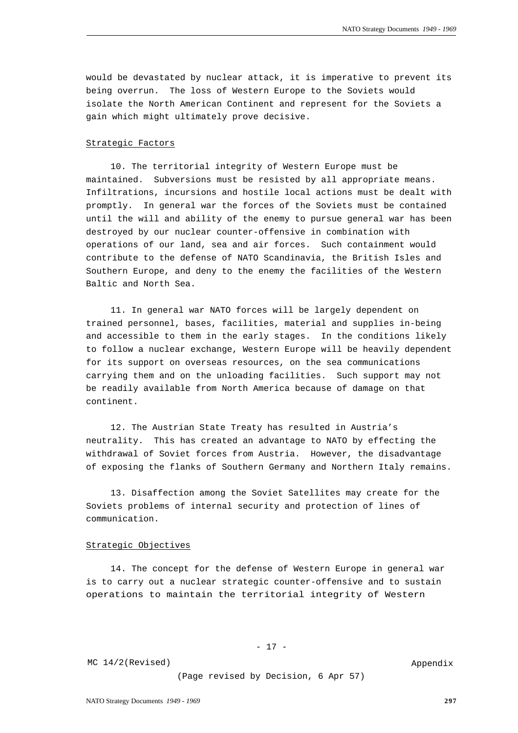would be devastated by nuclear attack, it is imperative to prevent its being overrun. The loss of Western Europe to the Soviets would isolate the North American Continent and represent for the Soviets a gain which might ultimately prove decisive.

#### Strategic Factors

10. The territorial integrity of Western Europe must be maintained. Subversions must be resisted by all appropriate means. Infiltrations, incursions and hostile local actions must be dealt with promptly. In general war the forces of the Soviets must be contained until the will and ability of the enemy to pursue general war has been destroyed by our nuclear counter-offensive in combination with operations of our land, sea and air forces. Such containment would contribute to the defense of NATO Scandinavia, the British Isles and Southern Europe, and deny to the enemy the facilities of the Western Baltic and North Sea.

11. In general war NATO forces will be largely dependent on trained personnel, bases, facilities, material and supplies in-being and accessible to them in the early stages. In the conditions likely to follow a nuclear exchange, Western Europe will be heavily dependent for its support on overseas resources, on the sea communications carrying them and on the unloading facilities. Such support may not be readily available from North America because of damage on that continent.

12. The Austrian State Treaty has resulted in Austria's neutrality. This has created an advantage to NATO by effecting the withdrawal of Soviet forces from Austria. However, the disadvantage of exposing the flanks of Southern Germany and Northern Italy remains.

13. Disaffection among the Soviet Satellites may create for the Soviets problems of internal security and protection of lines of communication.

## Strategic Objectives

14. The concept for the defense of Western Europe in general war is to carry out a nuclear strategic counter-offensive and to sustain operations to maintain the territorial integrity of Western

- 17 -

MC 14/2(Revised)

(Page revised by Decision, 6 Apr 57)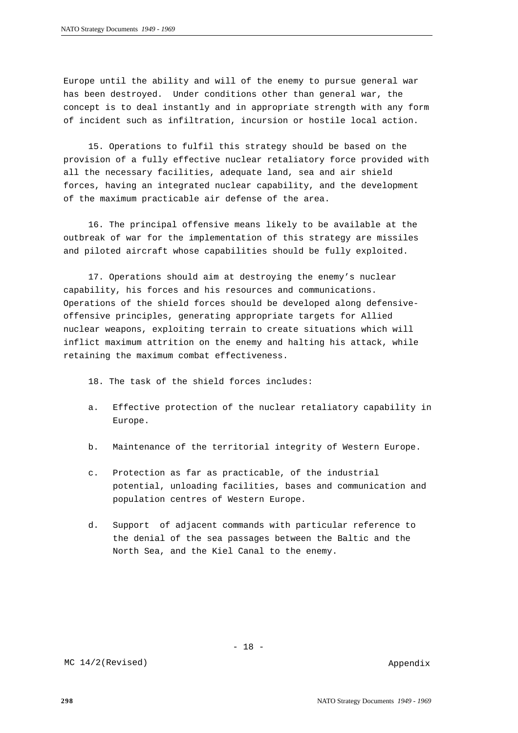Europe until the ability and will of the enemy to pursue general war has been destroyed. Under conditions other than general war, the concept is to deal instantly and in appropriate strength with any form of incident such as infiltration, incursion or hostile local action.

15. Operations to fulfil this strategy should be based on the provision of a fully effective nuclear retaliatory force provided with all the necessary facilities, adequate land, sea and air shield forces, having an integrated nuclear capability, and the development of the maximum practicable air defense of the area.

16. The principal offensive means likely to be available at the outbreak of war for the implementation of this strategy are missiles and piloted aircraft whose capabilities should be fully exploited.

17. Operations should aim at destroying the enemy's nuclear capability, his forces and his resources and communications. Operations of the shield forces should be developed along defensiveoffensive principles, generating appropriate targets for Allied nuclear weapons, exploiting terrain to create situations which will inflict maximum attrition on the enemy and halting his attack, while retaining the maximum combat effectiveness.

18. The task of the shield forces includes:

- a. Effective protection of the nuclear retaliatory capability in Europe.
- b. Maintenance of the territorial integrity of Western Europe.
- c. Protection as far as practicable, of the industrial potential, unloading facilities, bases and communication and population centres of Western Europe.
- d. Support of adjacent commands with particular reference to the denial of the sea passages between the Baltic and the North Sea, and the Kiel Canal to the enemy.

- 18 -

MC 14/2(Revised)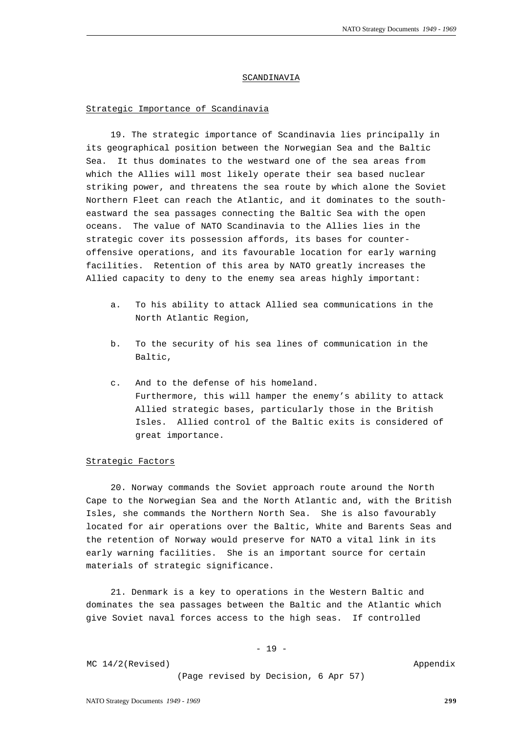#### SCANDINAVIA

## Strategic Importance of Scandinavia

19. The strategic importance of Scandinavia lies principally in its geographical position between the Norwegian Sea and the Baltic Sea. It thus dominates to the westward one of the sea areas from which the Allies will most likely operate their sea based nuclear striking power, and threatens the sea route by which alone the Soviet Northern Fleet can reach the Atlantic, and it dominates to the southeastward the sea passages connecting the Baltic Sea with the open oceans. The value of NATO Scandinavia to the Allies lies in the strategic cover its possession affords, its bases for counteroffensive operations, and its favourable location for early warning facilities. Retention of this area by NATO greatly increases the Allied capacity to deny to the enemy sea areas highly important:

- a. To his ability to attack Allied sea communications in the North Atlantic Region,
- b. To the security of his sea lines of communication in the Baltic,
- c. And to the defense of his homeland. Furthermore, this will hamper the enemy's ability to attack Allied strategic bases, particularly those in the British Isles. Allied control of the Baltic exits is considered of great importance.

## Strategic Factors

20. Norway commands the Soviet approach route around the North Cape to the Norwegian Sea and the North Atlantic and, with the British Isles, she commands the Northern North Sea. She is also favourably located for air operations over the Baltic, White and Barents Seas and the retention of Norway would preserve for NATO a vital link in its early warning facilities. She is an important source for certain materials of strategic significance.

21. Denmark is a key to operations in the Western Baltic and dominates the sea passages between the Baltic and the Atlantic which give Soviet naval forces access to the high seas. If controlled

#### - 19 -

MC 14/2(Revised)

(Page revised by Decision, 6 Apr 57)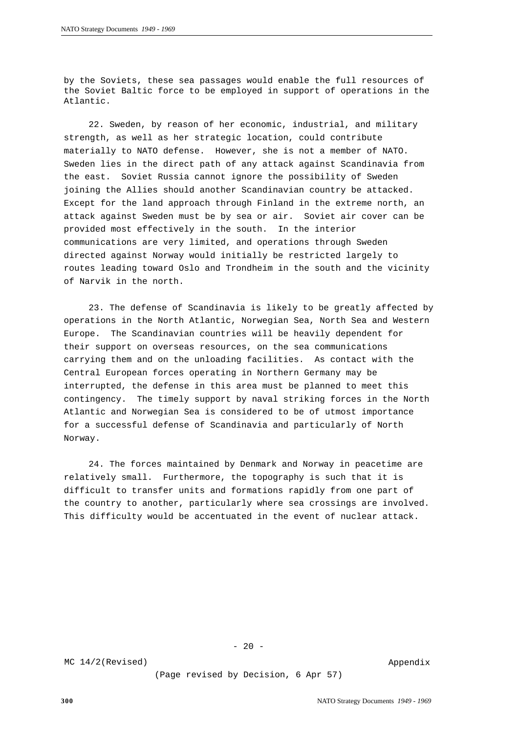by the Soviets, these sea passages would enable the full resources of the Soviet Baltic force to be employed in support of operations in the Atlantic.

22. Sweden, by reason of her economic, industrial, and military strength, as well as her strategic location, could contribute materially to NATO defense. However, she is not a member of NATO. Sweden lies in the direct path of any attack against Scandinavia from the east. Soviet Russia cannot ignore the possibility of Sweden joining the Allies should another Scandinavian country be attacked. Except for the land approach through Finland in the extreme north, an attack against Sweden must be by sea or air. Soviet air cover can be provided most effectively in the south. In the interior communications are very limited, and operations through Sweden directed against Norway would initially be restricted largely to routes leading toward Oslo and Trondheim in the south and the vicinity of Narvik in the north.

23. The defense of Scandinavia is likely to be greatly affected by operations in the North Atlantic, Norwegian Sea, North Sea and Western Europe. The Scandinavian countries will be heavily dependent for their support on overseas resources, on the sea communications carrying them and on the unloading facilities. As contact with the Central European forces operating in Northern Germany may be interrupted, the defense in this area must be planned to meet this contingency. The timely support by naval striking forces in the North Atlantic and Norwegian Sea is considered to be of utmost importance for a successful defense of Scandinavia and particularly of North Norway.

24. The forces maintained by Denmark and Norway in peacetime are relatively small. Furthermore, the topography is such that it is difficult to transfer units and formations rapidly from one part of the country to another, particularly where sea crossings are involved. This difficulty would be accentuated in the event of nuclear attack.

#### MC 14/2(Revised)

 $- 20 -$ 

(Page revised by Decision, 6 Apr 57)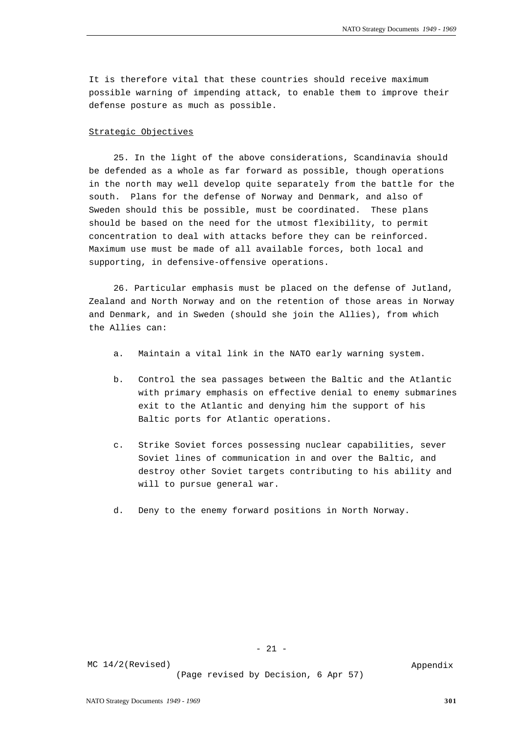It is therefore vital that these countries should receive maximum possible warning of impending attack, to enable them to improve their defense posture as much as possible.

## Strategic Objectives

25. In the light of the above considerations, Scandinavia should be defended as a whole as far forward as possible, though operations in the north may well develop quite separately from the battle for the south. Plans for the defense of Norway and Denmark, and also of Sweden should this be possible, must be coordinated. These plans should be based on the need for the utmost flexibility, to permit concentration to deal with attacks before they can be reinforced. Maximum use must be made of all available forces, both local and supporting, in defensive-offensive operations.

26. Particular emphasis must be placed on the defense of Jutland, Zealand and North Norway and on the retention of those areas in Norway and Denmark, and in Sweden (should she join the Allies), from which the Allies can:

- a. Maintain a vital link in the NATO early warning system.
- b. Control the sea passages between the Baltic and the Atlantic with primary emphasis on effective denial to enemy submarines exit to the Atlantic and denying him the support of his Baltic ports for Atlantic operations.
- c. Strike Soviet forces possessing nuclear capabilities, sever Soviet lines of communication in and over the Baltic, and destroy other Soviet targets contributing to his ability and will to pursue general war.
- d. Deny to the enemy forward positions in North Norway.

- 21 -

MC 14/2(Revised)

(Page revised by Decision, 6 Apr 57)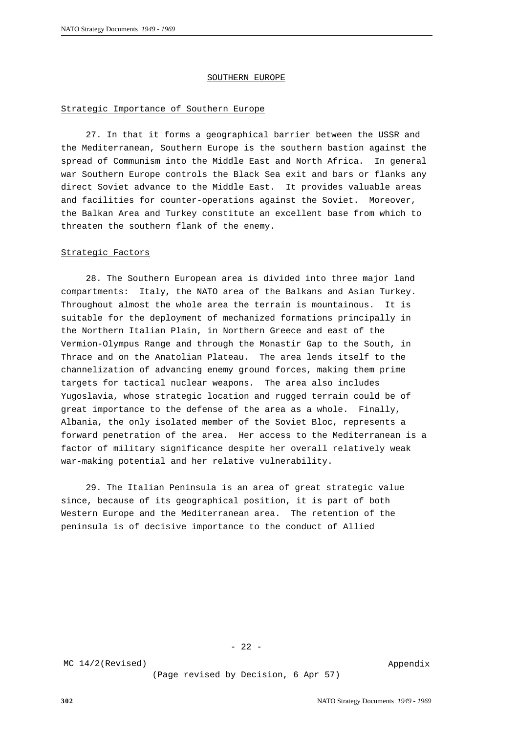#### SOUTHERN EUROPE

## Strategic Importance of Southern Europe

27. In that it forms a geographical barrier between the USSR and the Mediterranean, Southern Europe is the southern bastion against the spread of Communism into the Middle East and North Africa. In general war Southern Europe controls the Black Sea exit and bars or flanks any direct Soviet advance to the Middle East. It provides valuable areas and facilities for counter-operations against the Soviet. Moreover, the Balkan Area and Turkey constitute an excellent base from which to threaten the southern flank of the enemy.

#### Strategic Factors

28. The Southern European area is divided into three major land compartments: Italy, the NATO area of the Balkans and Asian Turkey. Throughout almost the whole area the terrain is mountainous. It is suitable for the deployment of mechanized formations principally in the Northern Italian Plain, in Northern Greece and east of the Vermion-Olympus Range and through the Monastir Gap to the South, in Thrace and on the Anatolian Plateau. The area lends itself to the channelization of advancing enemy ground forces, making them prime targets for tactical nuclear weapons. The area also includes Yugoslavia, whose strategic location and rugged terrain could be of great importance to the defense of the area as a whole. Finally, Albania, the only isolated member of the Soviet Bloc, represents a forward penetration of the area. Her access to the Mediterranean is a factor of military significance despite her overall relatively weak war-making potential and her relative vulnerability.

29. The Italian Peninsula is an area of great strategic value since, because of its geographical position, it is part of both Western Europe and the Mediterranean area. The retention of the peninsula is of decisive importance to the conduct of Allied

- 22 -

MC 14/2(Revised)

(Page revised by Decision, 6 Apr 57)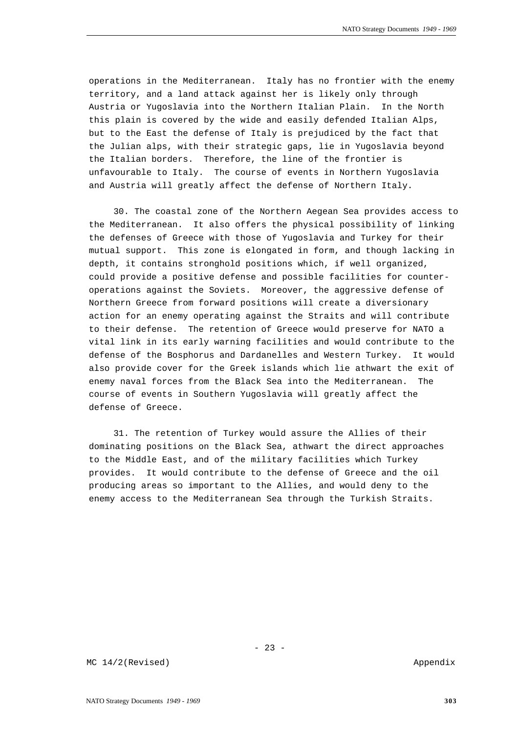operations in the Mediterranean. Italy has no frontier with the enemy territory, and a land attack against her is likely only through Austria or Yugoslavia into the Northern Italian Plain. In the North this plain is covered by the wide and easily defended Italian Alps, but to the East the defense of Italy is prejudiced by the fact that the Julian alps, with their strategic gaps, lie in Yugoslavia beyond the Italian borders. Therefore, the line of the frontier is unfavourable to Italy. The course of events in Northern Yugoslavia and Austria will greatly affect the defense of Northern Italy.

30. The coastal zone of the Northern Aegean Sea provides access to the Mediterranean. It also offers the physical possibility of linking the defenses of Greece with those of Yugoslavia and Turkey for their mutual support. This zone is elongated in form, and though lacking in depth, it contains stronghold positions which, if well organized, could provide a positive defense and possible facilities for counteroperations against the Soviets. Moreover, the aggressive defense of Northern Greece from forward positions will create a diversionary action for an enemy operating against the Straits and will contribute to their defense. The retention of Greece would preserve for NATO a vital link in its early warning facilities and would contribute to the defense of the Bosphorus and Dardanelles and Western Turkey. It would also provide cover for the Greek islands which lie athwart the exit of enemy naval forces from the Black Sea into the Mediterranean. The course of events in Southern Yugoslavia will greatly affect the defense of Greece.

31. The retention of Turkey would assure the Allies of their dominating positions on the Black Sea, athwart the direct approaches to the Middle East, and of the military facilities which Turkey provides. It would contribute to the defense of Greece and the oil producing areas so important to the Allies, and would deny to the enemy access to the Mediterranean Sea through the Turkish Straits.

MC 14/2(Revised)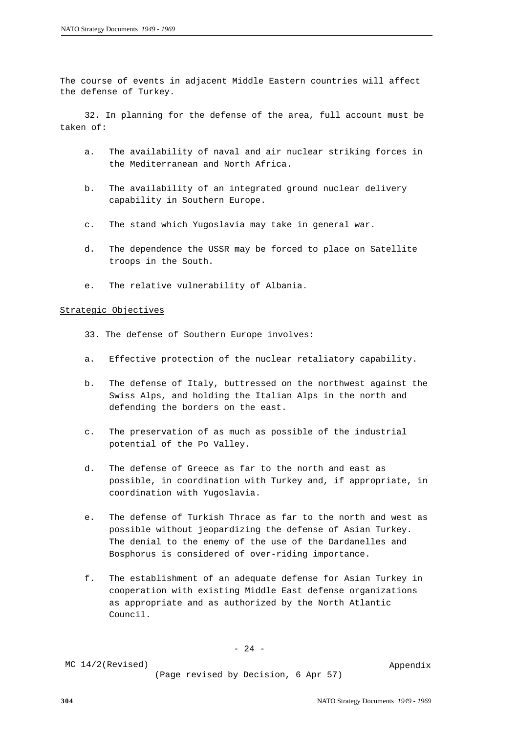The course of events in adjacent Middle Eastern countries will affect the defense of Turkey.

32. In planning for the defense of the area, full account must be taken of:

- a. The availability of naval and air nuclear striking forces in the Mediterranean and North Africa.
- b. The availability of an integrated ground nuclear delivery capability in Southern Europe.
- c. The stand which Yugoslavia may take in general war.
- d. The dependence the USSR may be forced to place on Satellite troops in the South.
- e. The relative vulnerability of Albania.

## Strategic Objectives

- 33. The defense of Southern Europe involves:
- a. Effective protection of the nuclear retaliatory capability.
- b. The defense of Italy, buttressed on the northwest against the Swiss Alps, and holding the Italian Alps in the north and defending the borders on the east.
- c. The preservation of as much as possible of the industrial potential of the Po Valley.
- d. The defense of Greece as far to the north and east as possible, in coordination with Turkey and, if appropriate, in coordination with Yugoslavia.
- e. The defense of Turkish Thrace as far to the north and west as possible without jeopardizing the defense of Asian Turkey. The denial to the enemy of the use of the Dardanelles and Bosphorus is considered of over-riding importance.
- f. The establishment of an adequate defense for Asian Turkey in cooperation with existing Middle East defense organizations as appropriate and as authorized by the North Atlantic Council.

- 24 -

MC 14/2(Revised)

(Page revised by Decision, 6 Apr 57)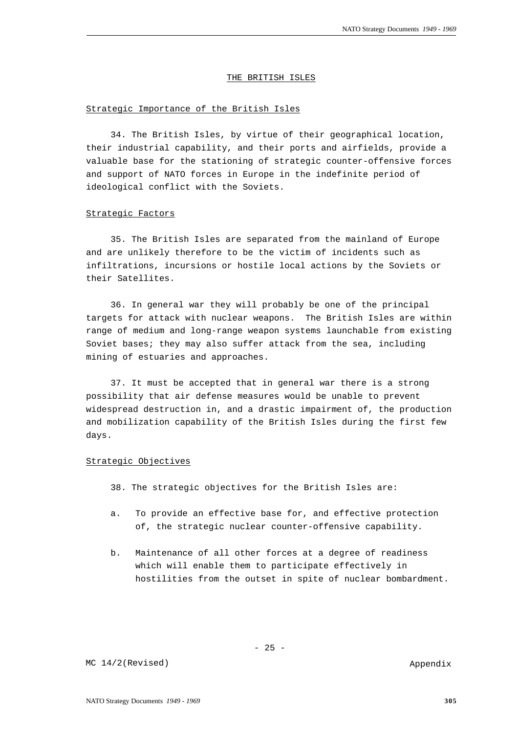#### THE BRITISH ISLES

## Strategic Importance of the British Isles

34. The British Isles, by virtue of their geographical location, their industrial capability, and their ports and airfields, provide a valuable base for the stationing of strategic counter-offensive forces and support of NATO forces in Europe in the indefinite period of ideological conflict with the Soviets.

## Strategic Factors

35. The British Isles are separated from the mainland of Europe and are unlikely therefore to be the victim of incidents such as infiltrations, incursions or hostile local actions by the Soviets or their Satellites.

36. In general war they will probably be one of the principal targets for attack with nuclear weapons. The British Isles are within range of medium and long-range weapon systems launchable from existing Soviet bases; they may also suffer attack from the sea, including mining of estuaries and approaches.

37. It must be accepted that in general war there is a strong possibility that air defense measures would be unable to prevent widespread destruction in, and a drastic impairment of, the production and mobilization capability of the British Isles during the first few days.

## Strategic Objectives

38. The strategic objectives for the British Isles are:

- a. To provide an effective base for, and effective protection of, the strategic nuclear counter-offensive capability.
- b. Maintenance of all other forces at a degree of readiness which will enable them to participate effectively in hostilities from the outset in spite of nuclear bombardment.

 $- 25 -$ 

Appendix

MC 14/2(Revised)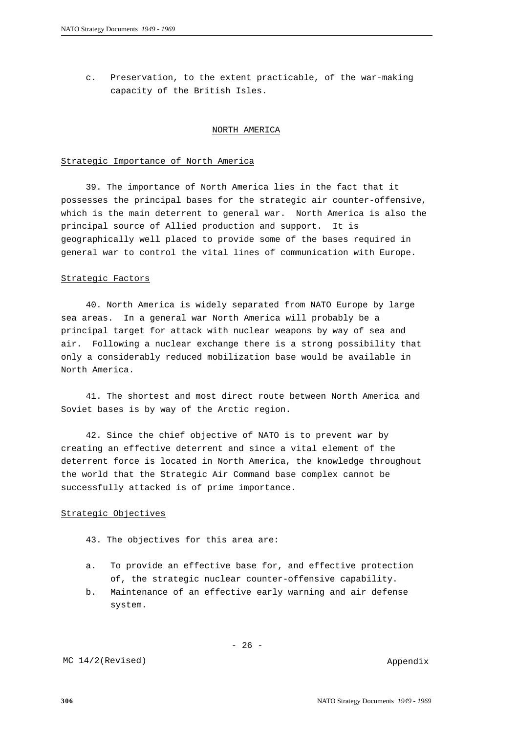c. Preservation, to the extent practicable, of the war-making capacity of the British Isles.

## NORTH AMERICA

#### Strategic Importance of North America

39. The importance of North America lies in the fact that it possesses the principal bases for the strategic air counter-offensive, which is the main deterrent to general war. North America is also the principal source of Allied production and support. It is geographically well placed to provide some of the bases required in general war to control the vital lines of communication with Europe.

#### Strategic Factors

40. North America is widely separated from NATO Europe by large sea areas. In a general war North America will probably be a principal target for attack with nuclear weapons by way of sea and air. Following a nuclear exchange there is a strong possibility that only a considerably reduced mobilization base would be available in North America.

41. The shortest and most direct route between North America and Soviet bases is by way of the Arctic region.

42. Since the chief objective of NATO is to prevent war by creating an effective deterrent and since a vital element of the deterrent force is located in North America, the knowledge throughout the world that the Strategic Air Command base complex cannot be successfully attacked is of prime importance.

## Strategic Objectives

- 43. The objectives for this area are:
- a. To provide an effective base for, and effective protection of, the strategic nuclear counter-offensive capability.
- b. Maintenance of an effective early warning and air defense system.

 $- 26 -$ 

MC 14/2(Revised)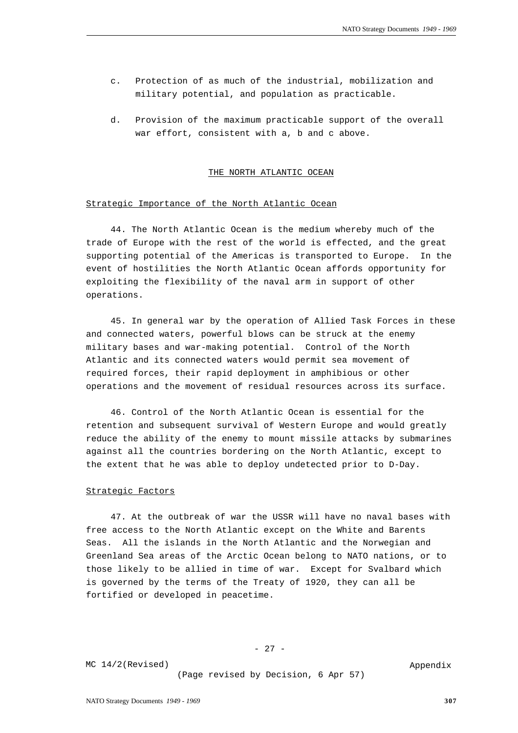- c. Protection of as much of the industrial, mobilization and military potential, and population as practicable.
- d. Provision of the maximum practicable support of the overall war effort, consistent with a, b and c above.

#### THE NORTH ATLANTIC OCEAN

## Strategic Importance of the North Atlantic Ocean

44. The North Atlantic Ocean is the medium whereby much of the trade of Europe with the rest of the world is effected, and the great supporting potential of the Americas is transported to Europe. In the event of hostilities the North Atlantic Ocean affords opportunity for exploiting the flexibility of the naval arm in support of other operations.

45. In general war by the operation of Allied Task Forces in these and connected waters, powerful blows can be struck at the enemy military bases and war-making potential. Control of the North Atlantic and its connected waters would permit sea movement of required forces, their rapid deployment in amphibious or other operations and the movement of residual resources across its surface.

46. Control of the North Atlantic Ocean is essential for the retention and subsequent survival of Western Europe and would greatly reduce the ability of the enemy to mount missile attacks by submarines against all the countries bordering on the North Atlantic, except to the extent that he was able to deploy undetected prior to D-Day.

## Strategic Factors

47. At the outbreak of war the USSR will have no naval bases with free access to the North Atlantic except on the White and Barents Seas. All the islands in the North Atlantic and the Norwegian and Greenland Sea areas of the Arctic Ocean belong to NATO nations, or to those likely to be allied in time of war. Except for Svalbard which is governed by the terms of the Treaty of 1920, they can all be fortified or developed in peacetime.

- 27 -

MC 14/2(Revised)

(Page revised by Decision, 6 Apr 57)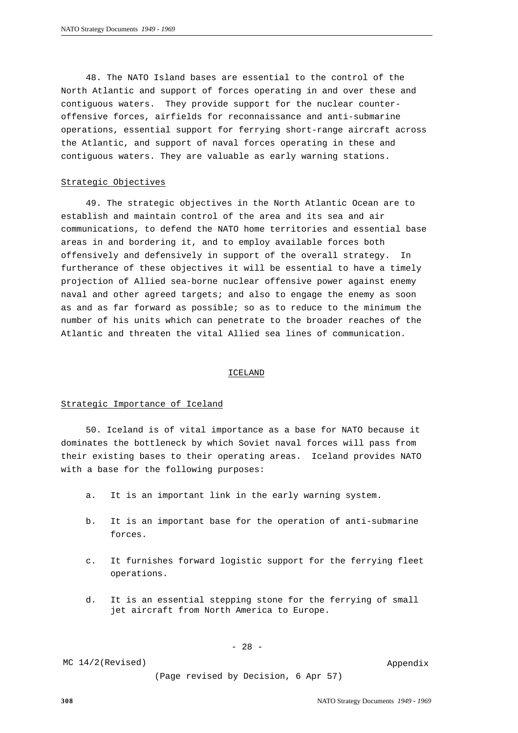48. The NATO Island bases are essential to the control of the North Atlantic and support of forces operating in and over these and contiguous waters. They provide support for the nuclear counteroffensive forces, airfields for reconnaissance and anti-submarine operations, essential support for ferrying short-range aircraft across the Atlantic, and support of naval forces operating in these and contiguous waters. They are valuable as early warning stations.

#### Strategic Objectives

49. The strategic objectives in the North Atlantic Ocean are to establish and maintain control of the area and its sea and air communications, to defend the NATO home territories and essential base areas in and bordering it, and to employ available forces both offensively and defensively in support of the overall strategy. In furtherance of these objectives it will be essential to have a timely projection of Allied sea-borne nuclear offensive power against enemy naval and other agreed targets; and also to engage the enemy as soon as and as far forward as possible; so as to reduce to the minimum the number of his units which can penetrate to the broader reaches of the Atlantic and threaten the vital Allied sea lines of communication.

#### ICELAND

## Strategic Importance of Iceland

50. Iceland is of vital importance as a base for NATO because it dominates the bottleneck by which Soviet naval forces will pass from their existing bases to their operating areas. Iceland provides NATO with a base for the following purposes:

- a. It is an important link in the early warning system.
- b. It is an important base for the operation of anti-submarine forces.
- c. It furnishes forward logistic support for the ferrying fleet operations.
- d. It is an essential stepping stone for the ferrying of small jet aircraft from North America to Europe.

MC 14/2(Revised)

- 28 -

(Page revised by Decision, 6 Apr 57)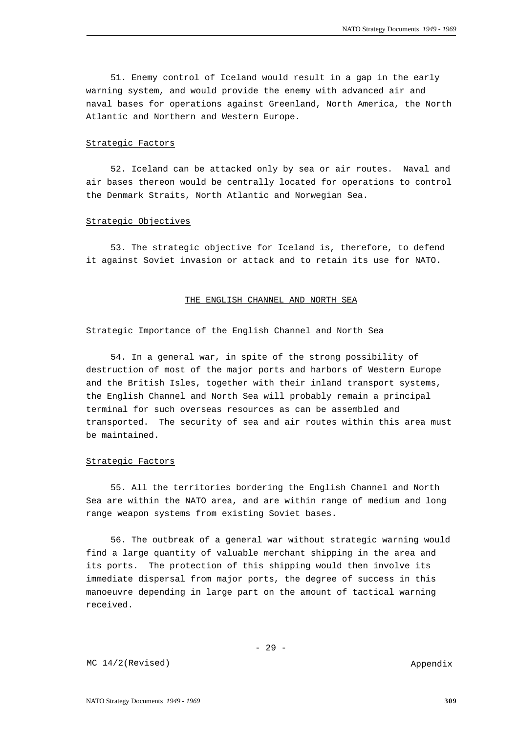51. Enemy control of Iceland would result in a gap in the early warning system, and would provide the enemy with advanced air and naval bases for operations against Greenland, North America, the North Atlantic and Northern and Western Europe.

#### Strategic Factors

52. Iceland can be attacked only by sea or air routes. Naval and air bases thereon would be centrally located for operations to control the Denmark Straits, North Atlantic and Norwegian Sea.

#### Strategic Objectives

53. The strategic objective for Iceland is, therefore, to defend it against Soviet invasion or attack and to retain its use for NATO.

#### THE ENGLISH CHANNEL AND NORTH SEA

## Strategic Importance of the English Channel and North Sea

54. In a general war, in spite of the strong possibility of destruction of most of the major ports and harbors of Western Europe and the British Isles, together with their inland transport systems, the English Channel and North Sea will probably remain a principal terminal for such overseas resources as can be assembled and transported. The security of sea and air routes within this area must be maintained.

## Strategic Factors

55. All the territories bordering the English Channel and North Sea are within the NATO area, and are within range of medium and long range weapon systems from existing Soviet bases.

56. The outbreak of a general war without strategic warning would find a large quantity of valuable merchant shipping in the area and its ports. The protection of this shipping would then involve its immediate dispersal from major ports, the degree of success in this manoeuvre depending in large part on the amount of tactical warning received.

Appendix

MC 14/2(Revised)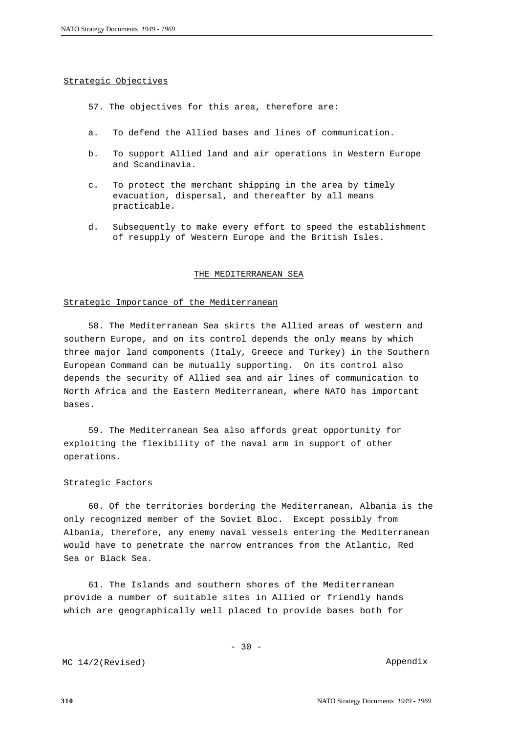## Strategic Objectives

- 57. The objectives for this area, therefore are:
- a. To defend the Allied bases and lines of communication.
- b. To support Allied land and air operations in Western Europe and Scandinavia.
- c. To protect the merchant shipping in the area by timely evacuation, dispersal, and thereafter by all means practicable.
- d. Subsequently to make every effort to speed the establishment of resupply of Western Europe and the British Isles.

## THE MEDITERRANEAN SEA

#### Strategic Importance of the Mediterranean

58. The Mediterranean Sea skirts the Allied areas of western and southern Europe, and on its control depends the only means by which three major land components (Italy, Greece and Turkey) in the Southern European Command can be mutually supporting. On its control also depends the security of Allied sea and air lines of communication to North Africa and the Eastern Mediterranean, where NATO has important bases.

59. The Mediterranean Sea also affords great opportunity for exploiting the flexibility of the naval arm in support of other operations.

# Strategic Factors

60. Of the territories bordering the Mediterranean, Albania is the only recognized member of the Soviet Bloc. Except possibly from Albania, therefore, any enemy naval vessels entering the Mediterranean would have to penetrate the narrow entrances from the Atlantic, Red Sea or Black Sea.

61. The Islands and southern shores of the Mediterranean provide a number of suitable sites in Allied or friendly hands which are geographically well placed to provide bases both for

MC 14/2(Revised)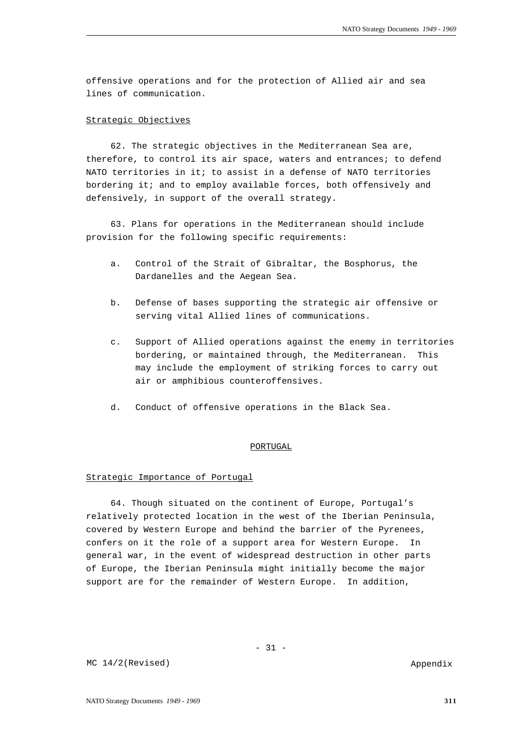offensive operations and for the protection of Allied air and sea lines of communication.

## Strategic Objectives

62. The strategic objectives in the Mediterranean Sea are, therefore, to control its air space, waters and entrances; to defend NATO territories in it; to assist in a defense of NATO territories bordering it; and to employ available forces, both offensively and defensively, in support of the overall strategy.

63. Plans for operations in the Mediterranean should include provision for the following specific requirements:

- a. Control of the Strait of Gibraltar, the Bosphorus, the Dardanelles and the Aegean Sea.
- b. Defense of bases supporting the strategic air offensive or serving vital Allied lines of communications.
- c. Support of Allied operations against the enemy in territories bordering, or maintained through, the Mediterranean. This may include the employment of striking forces to carry out air or amphibious counteroffensives.
- d. Conduct of offensive operations in the Black Sea.

#### PORTUGAL

#### Strategic Importance of Portugal

64. Though situated on the continent of Europe, Portugal's relatively protected location in the west of the Iberian Peninsula, covered by Western Europe and behind the barrier of the Pyrenees, confers on it the role of a support area for Western Europe. In general war, in the event of widespread destruction in other parts of Europe, the Iberian Peninsula might initially become the major support are for the remainder of Western Europe. In addition,

MC 14/2(Revised)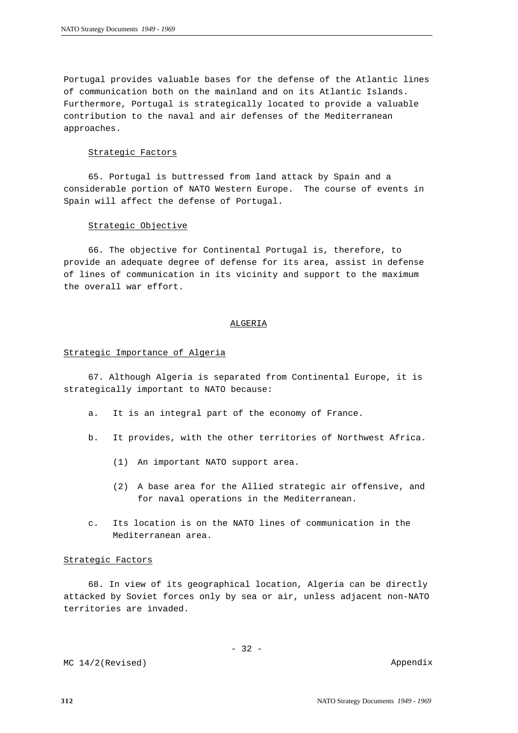Portugal provides valuable bases for the defense of the Atlantic lines of communication both on the mainland and on its Atlantic Islands. Furthermore, Portugal is strategically located to provide a valuable contribution to the naval and air defenses of the Mediterranean approaches.

#### Strategic Factors

65. Portugal is buttressed from land attack by Spain and a considerable portion of NATO Western Europe. The course of events in Spain will affect the defense of Portugal.

## Strategic Objective

66. The objective for Continental Portugal is, therefore, to provide an adequate degree of defense for its area, assist in defense of lines of communication in its vicinity and support to the maximum the overall war effort.

## ALGERIA

## Strategic Importance of Algeria

67. Although Algeria is separated from Continental Europe, it is strategically important to NATO because:

- a. It is an integral part of the economy of France.
- b. It provides, with the other territories of Northwest Africa.
	- (1) An important NATO support area.
	- (2) A base area for the Allied strategic air offensive, and for naval operations in the Mediterranean.
- c. Its location is on the NATO lines of communication in the Mediterranean area.

## Strategic Factors

68. In view of its geographical location, Algeria can be directly attacked by Soviet forces only by sea or air, unless adjacent non-NATO territories are invaded.

MC 14/2(Revised)

- 32 -